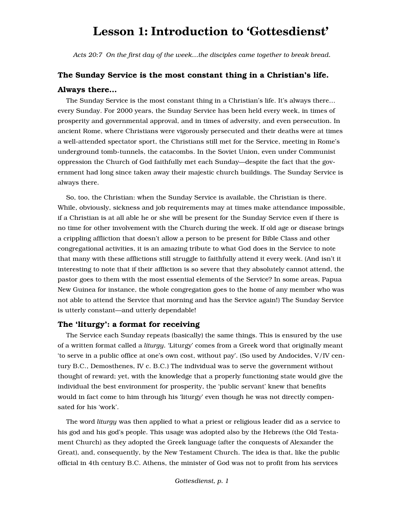# **Lesson 1: Introduction to 'Gottesdienst'**

*Acts 20:7 On the first day of the week…the disciples came together to break bread.*

# The Sunday Service is the most constant thing in a Christian's life. Always there…

The Sunday Service is the most constant thing in a Christian's life. It's always there… every Sunday. For 2000 years, the Sunday Service has been held every week, in times of prosperity and governmental approval, and in times of adversity, and even persecution. In ancient Rome, where Christians were vigorously persecuted and their deaths were at times a well-attended spectator sport, the Christians still met for the Service, meeting in Rome's underground tomb-tunnels, the catacombs. In the Soviet Union, even under Communist oppression the Church of God faithfully met each Sunday—despite the fact that the government had long since taken away their majestic church buildings. The Sunday Service is always there.

So, too, the Christian: when the Sunday Service is available, the Christian is there. While, obviously, sickness and job requirements may at times make attendance impossible, if a Christian is at all able he or she will be present for the Sunday Service even if there is no time for other involvement with the Church during the week. If old age or disease brings a crippling affliction that doesn't allow a person to be present for Bible Class and other congregational activities, it is an amazing tribute to what God does in the Service to note that many with these afflictions still struggle to faithfully attend it every week. (And isn't it interesting to note that if their affliction is so severe that they absolutely cannot attend, the pastor goes to them with the most essential elements of the Service? In some areas, Papua New Guinea for instance, the whole congregation goes to the home of any member who was not able to attend the Service that morning and has the Service again!) The Sunday Service is utterly constant—and utterly dependable!

# The 'liturgy': a format for receiving

The Service each Sunday repeats (basically) the same things. This is ensured by the use of a written format called a *liturgy.* 'Liturgy' comes from a Greek word that originally meant 'to serve in a public office at one's own cost, without pay'. (So used by Andocides, V/IV century B.C., Demosthenes, IV c. B.C.) The individual was to serve the government without thought of reward; yet, with the knowledge that a properly functioning state would give the individual the best environment for prosperity, the 'public servant' knew that benefits would in fact come to him through his 'liturgy' even though he was not directly compensated for his 'work'.

The word *liturgy* was then applied to what a priest or religious leader did as a service to his god and his god's people. This usage was adopted also by the Hebrews (the Old Testament Church) as they adopted the Greek language (after the conquests of Alexander the Great), and, consequently, by the New Testament Church. The idea is that, like the public official in 4th century B.C. Athens, the minister of God was not to profit from his services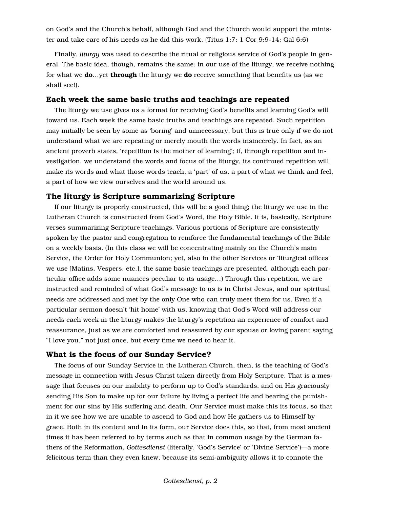on God's and the Church's behalf, although God and the Church would support the minister and take care of his needs as he did this work. (Titus 1:7; 1 Cor 9:9-14; Gal 6:6)

Finally, *liturgy* was used to describe the ritual or religious service of God's people in general. The basic idea, though, remains the same: in our use of the liturgy, we receive nothing for what we **do**…yet **through** the liturgy we **do** receive something that benefits us (as we shall see!).

#### Each week the same basic truths and teachings are repeated

The liturgy we use gives us a format for receiving God's benefits and learning God's will toward us. Each week the same basic truths and teachings are repeated. Such repetition may initially be seen by some as 'boring' and unnecessary, but this is true only if we do not understand what we are repeating or merely mouth the words insincerely. In fact, as an ancient proverb states, 'repetition is the mother of learning'; if, through repetition and investigation, we understand the words and focus of the liturgy, its continued repetition will make its words and what those words teach, a 'part' of us, a part of what we think and feel, a part of how we view ourselves and the world around us.

#### The liturgy is Scripture summarizing Scripture

If our liturgy is properly constructed, this will be a good thing; the liturgy we use in the Lutheran Church is constructed from God's Word, the Holy Bible. It is, basically, Scripture verses summarizing Scripture teachings. Various portions of Scripture are consistently spoken by the pastor and congregation to reinforce the fundamental teachings of the Bible on a weekly basis. (In this class we will be concentrating mainly on the Church's main Service, the Order for Holy Communion; yet, also in the other Services or 'liturgical offices' we use [Matins, Vespers, etc.], the same basic teachings are presented, although each particular office adds some nuances peculiar to its usage…) Through this repetition, we are instructed and reminded of what God's message to us is in Christ Jesus, and our spiritual needs are addressed and met by the only One who can truly meet them for us. Even if a particular sermon doesn't 'hit home' with us, knowing that God's Word will address our needs each week in the liturgy makes the liturgy's repetition an experience of comfort and reassurance, just as we are comforted and reassured by our spouse or loving parent saying "I love you," not just once, but every time we need to hear it.

#### What is the focus of our Sunday Service?

The focus of our Sunday Service in the Lutheran Church, then, is the teaching of God's message in connection with Jesus Christ taken directly from Holy Scripture. That is a message that focuses on our inability to perform up to God's standards, and on His graciously sending His Son to make up for our failure by living a perfect life and bearing the punishment for our sins by His suffering and death. Our Service must make this its focus, so that in it we see how we are unable to ascend to God and how He gathers us to Himself by grace. Both in its content and in its form, our Service does this, so that, from most ancient times it has been referred to by terms such as that in common usage by the German fathers of the Reformation, *Gottesdienst* (literally, 'God's Service' or 'Divine Service')—a more felicitous term than they even knew, because its semi-ambiguity allows it to connote the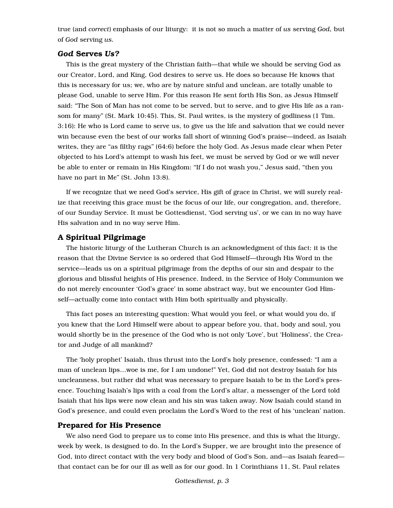true (and *correct*) emphasis of our liturgy: it is not so much a matter of *us* serving *God,* but of *God* serving *us.*

#### *God* Serves *Us?*

This is the great mystery of the Christian faith—that while we should be serving God as our Creator, Lord, and King, God desires to serve us. He does so because He knows that this is necessary for us; we, who are by nature sinful and unclean, are totally unable to please God, unable to serve Him. For this reason He sent forth His Son, as Jesus Himself said: "The Son of Man has not come to be served, but to serve, and to give His life as a ransom for many" (St. Mark 10:45). This, St. Paul writes, is the mystery of godliness (1 Tim. 3:16): He who is Lord came to serve us, to give us the life and salvation that we could never win because even the best of our works fall short of winning God's praise—indeed, as Isaiah writes, they are "as filthy rags" (64:6) before the holy God. As Jesus made clear when Peter objected to his Lord's attempt to wash his feet, we must be served by God or we will never be able to enter or remain in His Kingdom: "If I do not wash you," Jesus said, "then you have no part in Me" (St. John 13:8).

If we recognize that we need God's service, His gift of grace in Christ, we will surely realize that receiving this grace must be the focus of our life, our congregation, and, therefore, of our Sunday Service. It must be Gottesdienst, 'God serving us', or we can in no way have His salvation and in no way serve Him.

## A Spiritual Pilgrimage

The historic liturgy of the Lutheran Church is an acknowledgment of this fact: it is the reason that the Divine Service is so ordered that God Himself—through His Word in the service—leads us on a spiritual pilgrimage from the depths of our sin and despair to the glorious and blissful heights of His presence. Indeed, in the Service of Holy Communion we do not merely encounter 'God's grace' in some abstract way, but we encounter God Himself—actually come into contact with Him both spiritually and physically.

This fact poses an interesting question: What would you feel, or what would you do, if you knew that the Lord Himself were about to appear before you, that, body and soul, you would shortly be in the presence of the God who is not only 'Love', but 'Holiness', the Creator and Judge of all mankind?

The 'holy prophet' Isaiah, thus thrust into the Lord's holy presence, confessed: "I am a man of unclean lips…woe is me, for I am undone!" Yet, God did not destroy Isaiah for his uncleanness, but rather did what was necessary to prepare Isaiah to be in the Lord's presence. Touching Isaiah's lips with a coal from the Lord's altar, a messenger of the Lord told Isaiah that his lips were now clean and his sin was taken away. Now Isaiah could stand in God's presence, and could even proclaim the Lord's Word to the rest of his 'unclean' nation.

# Prepared for His Presence

We also need God to prepare us to come into His presence, and this is what the liturgy, week by week, is designed to do. In the Lord's Supper, we are brought into the presence of God, into direct contact with the very body and blood of God's Son, and—as Isaiah feared that contact can be for our ill as well as for our good. In 1 Corinthians 11, St. Paul relates